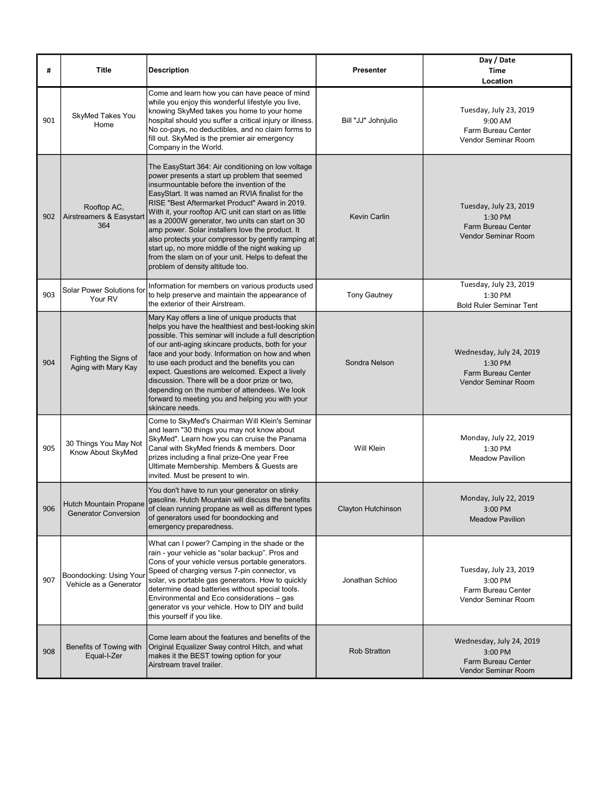| #   | <b>Title</b>                                          | <b>Description</b>                                                                                                                                                                                                                                                                                                                                                                                                                                                                                                                                                                                                         | <b>Presenter</b>    | Day / Date<br><b>Time</b><br>Location                                                        |
|-----|-------------------------------------------------------|----------------------------------------------------------------------------------------------------------------------------------------------------------------------------------------------------------------------------------------------------------------------------------------------------------------------------------------------------------------------------------------------------------------------------------------------------------------------------------------------------------------------------------------------------------------------------------------------------------------------------|---------------------|----------------------------------------------------------------------------------------------|
| 901 | SkyMed Takes You<br>Home                              | Come and learn how you can have peace of mind<br>while you enjoy this wonderful lifestyle you live,<br>knowing SkyMed takes you home to your home<br>hospital should you suffer a critical injury or illness.<br>No co-pays, no deductibles, and no claim forms to<br>fill out. SkyMed is the premier air emergency<br>Company in the World.                                                                                                                                                                                                                                                                               | Bill "JJ" Johnjulio | Tuesday, July 23, 2019<br>9:00 AM<br>Farm Bureau Center<br>Vendor Seminar Room               |
| 902 | Rooftop AC,<br>Airstreamers & Easystart<br>364        | The EasyStart 364: Air conditioning on low voltage<br>power presents a start up problem that seemed<br>insurmountable before the invention of the<br>EasyStart. It was named an RVIA finalist for the<br>RISE "Best Aftermarket Product" Award in 2019.<br>With it, your rooftop A/C unit can start on as little<br>as a 2000W generator, two units can start on 30<br>amp power. Solar installers love the product. It<br>also protects your compressor by gently ramping at<br>start up, no more middle of the night waking up<br>from the slam on of your unit. Helps to defeat the<br>problem of density altitude too. | <b>Kevin Carlin</b> | Tuesday, July 23, 2019<br>1:30 PM<br><b>Farm Bureau Center</b><br><b>Vendor Seminar Room</b> |
| 903 | Solar Power Solutions for<br>Your RV                  | Information for members on various products used<br>to help preserve and maintain the appearance of<br>the exterior of their Airstream.                                                                                                                                                                                                                                                                                                                                                                                                                                                                                    | <b>Tony Gautney</b> | Tuesday, July 23, 2019<br>1:30 PM<br><b>Bold Ruler Seminar Tent</b>                          |
| 904 | Fighting the Signs of<br>Aging with Mary Kay          | Mary Kay offers a line of unique products that<br>helps you have the healthiest and best-looking skin<br>possible. This seminar will include a full description<br>of our anti-aging skincare products, both for your<br>face and your body. Information on how and when<br>to use each product and the benefits you can<br>expect. Questions are welcomed. Expect a lively<br>discussion. There will be a door prize or two,<br>depending on the number of attendees. We look<br>forward to meeting you and helping you with your<br>skincare needs.                                                                      | Sondra Nelson       | Wednesday, July 24, 2019<br>1:30 PM<br>Farm Bureau Center<br><b>Vendor Seminar Room</b>      |
| 905 | 30 Things You May Not<br>Know About SkyMed            | Come to SkyMed's Chairman Will Klein's Seminar<br>and learn "30 things you may not know about<br>SkyMed". Learn how you can cruise the Panama<br>Canal with SkyMed friends & members. Door<br>prizes including a final prize-One year Free<br>Ultimate Membership. Members & Guests are<br>invited. Must be present to win.                                                                                                                                                                                                                                                                                                | Will Klein          | Monday, July 22, 2019<br>1:30 PM<br><b>Meadow Pavilion</b>                                   |
| 906 | Hutch Mountain Propane<br><b>Generator Conversion</b> | You don't have to run your generator on stinky<br>gasoline. Hutch Mountain will discuss the benefits<br>of clean running propane as well as different types<br>of generators used for boondocking and<br>emergency preparedness.                                                                                                                                                                                                                                                                                                                                                                                           | Clayton Hutchinson  | Monday, July 22, 2019<br>3:00 PM<br><b>Meadow Pavilion</b>                                   |
| 907 | Boondocking: Using Your<br>Vehicle as a Generator     | What can I power? Camping in the shade or the<br>rain - your vehicle as "solar backup". Pros and<br>Cons of your vehicle versus portable generators.<br>Speed of charging versus 7-pin connector, vs<br>solar, vs portable gas generators. How to quickly<br>determine dead batteries without special tools.<br>Environmental and Eco considerations - gas<br>generator vs your vehicle. How to DIY and build<br>this yourself if you like.                                                                                                                                                                                | Jonathan Schloo     | Tuesday, July 23, 2019<br>3:00 PM<br>Farm Bureau Center<br>Vendor Seminar Room               |
| 908 | Benefits of Towing with<br>Equal-I-Zer                | Come learn about the features and benefits of the<br>Original Equalizer Sway control Hitch, and what<br>makes it the BEST towing option for your<br>Airstream travel trailer.                                                                                                                                                                                                                                                                                                                                                                                                                                              | <b>Rob Stratton</b> | Wednesday, July 24, 2019<br>3:00 PM<br>Farm Bureau Center<br>Vendor Seminar Room             |